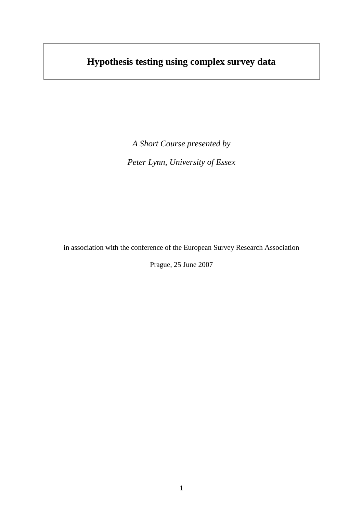# **Hypothesis testing using complex survey data**

*A Short Course presented by Peter Lynn, University of Essex*

in association with the conference of the European Survey Research Association

Prague, 25 June 2007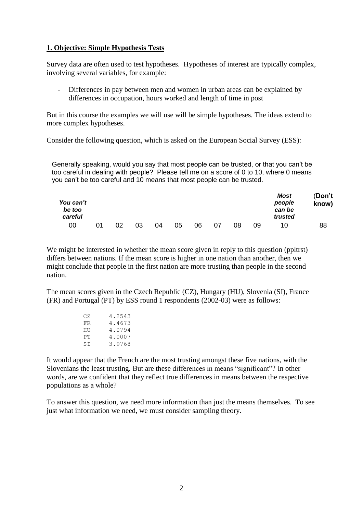## **1. Objective: Simple Hypothesis Tests**

Survey data are often used to test hypotheses. Hypotheses of interest are typically complex, involving several variables, for example:

Differences in pay between men and women in urban areas can be explained by differences in occupation, hours worked and length of time in post

But in this course the examples we will use will be simple hypotheses. The ideas extend to more complex hypotheses.

Consider the following question, which is asked on the European Social Survey (ESS):

Generally speaking, would you say that most people can be trusted, or that you can't be too careful in dealing with people? Please tell me on a score of 0 to 10, where 0 means you can't be too careful and 10 means that most people can be trusted.

| You can't<br>be too<br>careful |    |    |    |    |    |    |    |    |    | <b>Most</b><br>people<br>can be<br>trusted | (Don't<br>know) |
|--------------------------------|----|----|----|----|----|----|----|----|----|--------------------------------------------|-----------------|
| 00                             | በ1 | 02 | 03 | 04 | 05 | 06 | 07 | 08 | 09 | 10                                         | 88              |

We might be interested in whether the mean score given in reply to this question (ppltrst) differs between nations. If the mean score is higher in one nation than another, then we might conclude that people in the first nation are more trusting than people in the second nation.

The mean scores given in the Czech Republic (CZ), Hungary (HU), Slovenia (SI), France (FR) and Portugal (PT) by ESS round 1 respondents (2002-03) were as follows:

| CZ I | 4.2543 |
|------|--------|
| FR 1 | 4.4673 |
| HU   | 4.0794 |
| PT   | 4.0007 |
| SI   | 3.9768 |

It would appear that the French are the most trusting amongst these five nations, with the Slovenians the least trusting. But are these differences in means "significant"? In other words, are we confident that they reflect true differences in means between the respective populations as a whole?

To answer this question, we need more information than just the means themselves. To see just what information we need, we must consider sampling theory.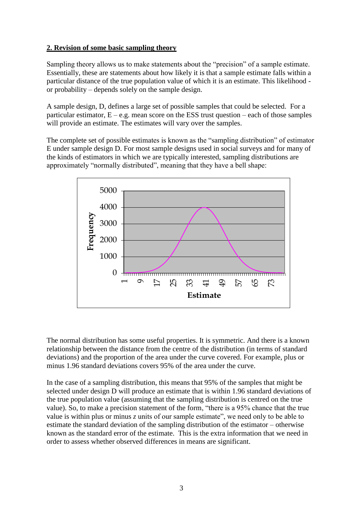# **2. Revision of some basic sampling theory**

Sampling theory allows us to make statements about the "precision" of a sample estimate. Essentially, these are statements about how likely it is that a sample estimate falls within a particular distance of the true population value of which it is an estimate. This likelihood or probability – depends solely on the sample design.

A sample design, D, defines a large set of possible samples that could be selected. For a particular estimator,  $E - e.g.$  mean score on the ESS trust question – each of those samples will provide an estimate. The estimates will vary over the samples.

The complete set of possible estimates is known as the "sampling distribution" of estimator E under sample design D. For most sample designs used in social surveys and for many of the kinds of estimators in which we are typically interested, sampling distributions are approximately "normally distributed", meaning that they have a bell shape:



The normal distribution has some useful properties. It is symmetric. And there is a known relationship between the distance from the centre of the distribution (in terms of standard deviations) and the proportion of the area under the curve covered. For example, plus or minus 1.96 standard deviations covers 95% of the area under the curve.

In the case of a sampling distribution, this means that 95% of the samples that might be selected under design D will produce an estimate that is within 1.96 standard deviations of the true population value (assuming that the sampling distribution is centred on the true value). So, to make a precision statement of the form, "there is a 95% chance that the true value is within plus or minus *z* units of our sample estimate", we need only to be able to estimate the standard deviation of the sampling distribution of the estimator – otherwise known as the standard error of the estimate. This is the extra information that we need in order to assess whether observed differences in means are significant.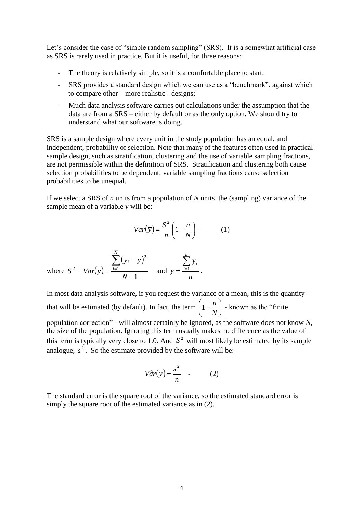Let's consider the case of "simple random sampling" (SRS). It is a somewhat artificial case as SRS is rarely used in practice. But it is useful, for three reasons:

- The theory is relatively simple, so it is a comfortable place to start;
- SRS provides a standard design which we can use as a "benchmark", against which to compare other – more realistic - designs;
- Much data analysis software carries out calculations under the assumption that the data are from a SRS – either by default or as the only option. We should try to understand what our software is doing.

SRS is a sample design where every unit in the study population has an equal, and independent, probability of selection. Note that many of the features often used in practical sample design, such as stratification, clustering and the use of variable sampling fractions, are not permissible within the definition of SRS. Stratification and clustering both cause selection probabilities to be dependent; variable sampling fractions cause selection probabilities to be unequal.

If we select a SRS of *n* units from a population of *N* units, the (sampling) variance of the sample mean of a variable *y* will be:

$$
Var(\bar{y}) = \frac{S^2}{n} \left( 1 - \frac{n}{N} \right) \tag{1}
$$

where 
$$
S^2 = Var(y) = \frac{\sum_{i=1}^{N} (y_i - \bar{y})^2}{N-1}
$$
 and  $\bar{y} = \frac{\sum_{i=1}^{n} y_i}{n}$ .

In most data analysis software, if you request the variance of a mean, this is the quantity

that will be estimated (by default). In fact, the term  $\left|1-\frac{n}{r}\right|$ J  $\left(1-\frac{n}{\sqrt{n}}\right)$  $\setminus$  $\Bigg(1-$ *N*  $\left(1 - \frac{n}{n}\right)$  - known as the "finite"

population correction" - will almost certainly be ignored, as the software does not know *N*, the size of the population. Ignoring this term usually makes no difference as the value of this term is typically very close to 1.0. And  $S<sup>2</sup>$  will most likely be estimated by its sample analogue,  $s^2$ . So the estimate provided by the software will be:

$$
V\hat{a}r(\bar{y}) = \frac{s^2}{n} \quad . \tag{2}
$$

The standard error is the square root of the variance, so the estimated standard error is simply the square root of the estimated variance as in (2).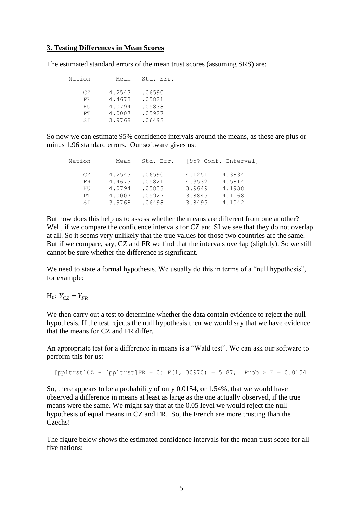## **3. Testing Differences in Mean Scores**

The estimated standard errors of the mean trust scores (assuming SRS) are:

| Nation | Mean   | Std. Err. |
|--------|--------|-----------|
| CZ I   | 4.2543 | .06590    |
| $FR$   | 4.4673 | .05821    |
| HU     | 4.0794 | .05838    |
| PT     | 4.0007 | .05927    |
| SI     | 3.9768 | .06498    |

So now we can estimate 95% confidence intervals around the means, as these are plus or minus 1.96 standard errors. Our software gives us:

| Nation    | Mean             | Std. Err.        |                  | [95% Conf. Interval] |
|-----------|------------------|------------------|------------------|----------------------|
| CZ.<br>FR | 4.2543<br>4.4673 | .06590<br>.05821 | 4.1251<br>4.3532 | 4.3834<br>4.5814     |
| HU        | 4.0794           | .05838           | 3.9649           | 4.1938               |
| PT        | 4.0007           | .05927           | 3.8845           | 4.1168               |
| SI        | 3.9768           | .06498           | 3.8495           | 4.1042               |

But how does this help us to assess whether the means are different from one another? Well, if we compare the confidence intervals for CZ and SI we see that they do not overlap at all. So it seems very unlikely that the true values for those two countries are the same. But if we compare, say, CZ and FR we find that the intervals overlap (slightly). So we still cannot be sure whether the difference is significant.

We need to state a formal hypothesis. We usually do this in terms of a "null hypothesis", for example:

 $H_0$ :  $\overline{Y}_{CZ} = \overline{Y}_{FR}$ 

We then carry out a test to determine whether the data contain evidence to reject the null hypothesis. If the test rejects the null hypothesis then we would say that we have evidence that the means for CZ and FR differ.

An appropriate test for a difference in means is a "Wald test". We can ask our software to perform this for us:

 $[{\rm poltrst}]$ CZ -  $[{\rm poltrst}]$ FR = 0: F(1, 30970) = 5.87; Prob > F = 0.0154

So, there appears to be a probability of only 0.0154, or 1.54%, that we would have observed a difference in means at least as large as the one actually observed, if the true means were the same. We might say that at the 0.05 level we would reject the null hypothesis of equal means in CZ and FR. So, the French are more trusting than the Czechs!

The figure below shows the estimated confidence intervals for the mean trust score for all five nations: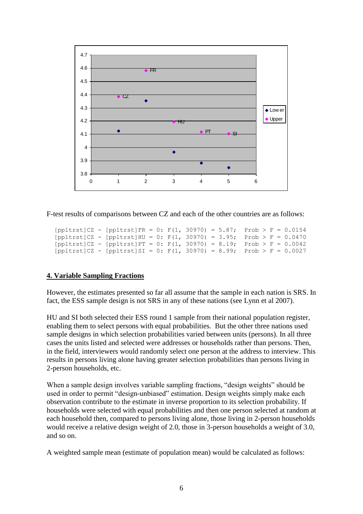

F-test results of comparisons between CZ and each of the other countries are as follows:

```
[{\rm poltrst}]CZ - [{\rm poltrst}]FR = 0: F(1, 30970) = 5.87; Prob > F = 0.0154
[{\rm poltrst}]CZ - [{\rm poltrst}]HU = 0: F(1, 30970) = 3.95; {\rm Prob} > F = 0.0470[{\rm poltrst}]CZ - [{\rm poltrst}]PT = 0: F(1, 30970) = 8.19; Prob > F = 0.0042
[{\rm poltrst}]CZ - [{\rm poltrst}]SI = 0: F(1, 30970) = 8.99; {\rm Prob} > F = 0.0027
```
# **4. Variable Sampling Fractions**

However, the estimates presented so far all assume that the sample in each nation is SRS. In fact, the ESS sample design is not SRS in any of these nations (see Lynn et al 2007).

HU and SI both selected their ESS round 1 sample from their national population register, enabling them to select persons with equal probabilities. But the other three nations used sample designs in which selection probabilities varied between units (persons). In all three cases the units listed and selected were addresses or households rather than persons. Then, in the field, interviewers would randomly select one person at the address to interview. This results in persons living alone having greater selection probabilities than persons living in 2-person households, etc.

When a sample design involves variable sampling fractions, "design weights" should be used in order to permit "design-unbiased" estimation. Design weights simply make each observation contribute to the estimate in inverse proportion to its selection probability. If households were selected with equal probabilities and then one person selected at random at each household then, compared to persons living alone, those living in 2-person households would receive a relative design weight of 2.0, those in 3-person households a weight of 3.0, and so on.

A weighted sample mean (estimate of population mean) would be calculated as follows: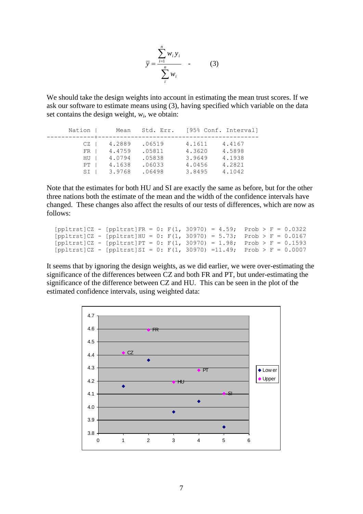$$
\overline{y} = \frac{\sum_{i=1}^{n} w_i y_i}{\sum_{i=1}^{n} w_i} \quad . \tag{3}
$$

We should take the design weights into account in estimating the mean trust scores. If we ask our software to estimate means using (3), having specified which variable on the data set contains the design weight,  $w_i$ , we obtain:

| Nation | Mean   | Std. Err. [95% Conf. Interval] |        |        |
|--------|--------|--------------------------------|--------|--------|
| CZ.    | 4.2889 | .06519                         | 4.1611 | 4.4167 |
| FR     | 4.4759 | .05811                         | 4.3620 | 4.5898 |
| HU     | 4.0794 | .05838                         | 3.9649 | 4.1938 |
| PT     | 4.1638 | .06033                         | 4.0456 | 4.2821 |
| SI     | 3.9768 | .06498                         | 3.8495 | 4.1042 |

Note that the estimates for both HU and SI are exactly the same as before, but for the other three nations both the estimate of the mean and the width of the confidence intervals have changed. These changes also affect the results of our tests of differences, which are now as follows:

```
[{\rm poltrst}]CZ - [{\rm poltrst}]FR = 0: F(1, 30970) = 4.59; Prob > F = 0.0322[{\rm poltrst}]CZ - [{\rm poltrst}]HU = 0: F(1, 30970) = 5.73; Prob > F = 0.0167
[{\rm poltrst}]CZ - [{\rm poltrst}]PT = 0: F(1, 30970) = 1.98; {\rm Prob} > F = 0.1593[{\rm \texttt{ppltrst}}]CZ - [{\rm \texttt{ppltrst}}]SI = 0: {\rm \texttt{F}}(1, 30970) =11.49; Prob > F = 0.0007
```
It seems that by ignoring the design weights, as we did earlier, we were over-estimating the significance of the differences between CZ and both FR and PT, but under-estimating the significance of the difference between CZ and HU. This can be seen in the plot of the estimated confidence intervals, using weighted data:

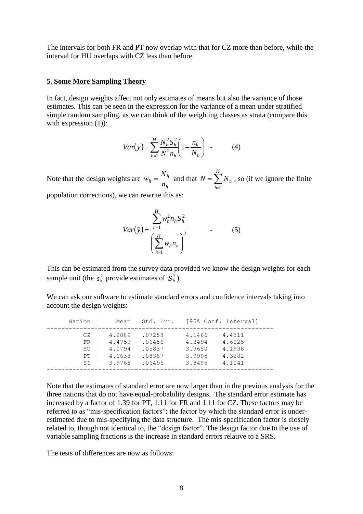The intervals for both FR and PT now overlap with that for CZ more than before, while the interval for HU overlaps with CZ less than before.

#### **5. Some More Sampling Theory**

In fact, design weights affect not only estimates of means but also the variance of those estimates. This can be seen in the expression for the variance of a mean under stratified simple random sampling, as we can think of the weighting classes as strata (compare this with expression  $(1)$ :

$$
Var(\bar{y}) = \sum_{h=1}^{H} \frac{N_h^2 S_h^2}{N^2 n_h} \left( 1 - \frac{n_h}{N_h} \right) \quad . \tag{4}
$$

Note that the design weights are *h*  $n_h = \frac{N_h}{n_h}$  $w_h = \frac{N_h}{n_h}$  and that  $N = \sum_{h=1}^H$ *H h*  $N = \sum_{h} N_h$ 1 , so (if we ignore the finite population corrections), we can rewrite this as:

$$
Var(\bar{y}) = \frac{\sum_{h=1}^{H} w_h^2 n_h S_h^2}{\left(\sum_{h=1}^{H} w_h n_h\right)^2}
$$
 (5)

This can be estimated from the survey data provided we know the design weights for each sample unit (the  $s_h^2$  $s_h^2$  provide estimates of  $S_h^2$ ).

We can ask our software to estimate standard errors and confidence intervals taking into account the design weights:

| Nation                     | Mean                                           | Std. Err.                                      |                                                | [95% Conf. Interval]                           |
|----------------------------|------------------------------------------------|------------------------------------------------|------------------------------------------------|------------------------------------------------|
| CZ<br>FR<br>HU<br>PT<br>SI | 4.2889<br>4.4759<br>4.0794<br>4.1638<br>3.9768 | .07258<br>.06456<br>.05837<br>.08387<br>.06496 | 4.1466<br>4.3494<br>3.9650<br>3.9995<br>3.8495 | 4.4311<br>4.6025<br>4.1938<br>4.3282<br>4.1041 |
|                            |                                                |                                                |                                                |                                                |

Note that the estimates of standard error are now larger than in the previous analysis for the three nations that do not have equal-probability designs. The standard error estimate has increased by a factor of 1.39 for PT, 1.11 for FR and 1.11 for CZ. These factors may be referred to as "mis-specification factors": the factor by which the standard error is underestimated due to mis-specifying the data structure. The mis-specification factor is closely related to, though not identical to, the "design factor". The design factor due to the use of variable sampling fractions is the increase in standard errors relative to a SRS.

The tests of differences are now as follows: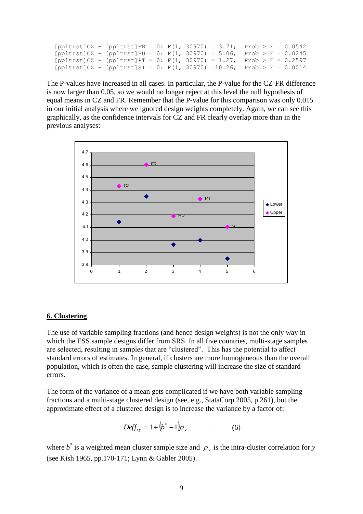```
[ppltrst]CZ - [ppltrst]FR = 0: F(1, 30970) = 3.71; Prob > F = 0.0542[ppltrst]CZ - [ppltrst]HU = 0: F(1, 30970) = 5.06; Prob > F = 0.0245[{\rm \texttt{poltrst}}]CZ - [{\rm \texttt{poltrst}}]PT = 0: F(1, 30970) = 1.27; Prob > F = 0.2597
[{\rm poltrst}]CZ - [{\rm poltrst}]SI = 0: F(1, 30970) =10.26; Prob > F = 0.0014
```
The P-values have increased in all cases. In particular, the P-value for the CZ-FR difference is now larger than 0.05, so we would no longer reject at this level the null hypothesis of equal means in CZ and FR. Remember that the P-value for this comparison was only 0.015 in our initial analysis where we ignored design weights completely. Again, we can see this graphically, as the confidence intervals for CZ and FR clearly overlap more than in the previous analyses:



#### **6. Clustering**

The use of variable sampling fractions (and hence design weights) is not the only way in which the ESS sample designs differ from SRS. In all five countries, multi-stage samples are selected, resulting in samples that are "clustered". This has the potential to affect standard errors of estimates. In general, if clusters are more homogeneous than the overall population, which is often the case, sample clustering will increase the size of standard errors.

The form of the variance of a mean gets complicated if we have both variable sampling fractions and a multi-stage clustered design (see, e.g., StataCorp 2005, p.261), but the approximate effect of a clustered design is to increase the variance by a factor of:

$$
Deff_{cy} = 1 + (b^* - 1)\rho_y \tag{6}
$$

where  $b^*$  is a weighted mean cluster sample size and  $\rho_y$  is the intra-cluster correlation for *y* (see Kish 1965, pp.170-171; Lynn & Gabler 2005).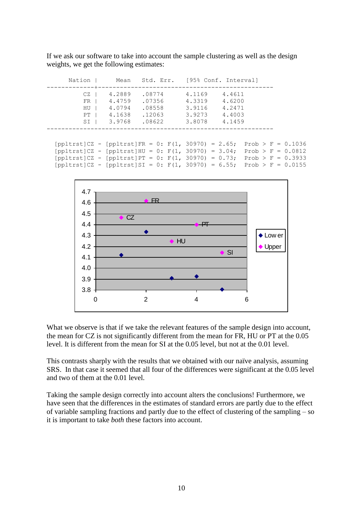If we ask our software to take into account the sample clustering as well as the design weights, we get the following estimates:

| Nation                                                                                                                                                                                                                                                         |                                                |                                                |                                                | Mean Std. Err. [95% Conf. Interval]            |                                                                   |  |
|----------------------------------------------------------------------------------------------------------------------------------------------------------------------------------------------------------------------------------------------------------------|------------------------------------------------|------------------------------------------------|------------------------------------------------|------------------------------------------------|-------------------------------------------------------------------|--|
| CZ<br>$FR$  <br>HU<br>PT<br>SI                                                                                                                                                                                                                                 | 4.2889<br>4.4759<br>4.0794<br>4.1638<br>3.9768 | .08774<br>.07356<br>.08558<br>.12063<br>.08622 | 4.1169<br>4.3319<br>3.9116<br>3.9273<br>3.8078 | 4.4611<br>4.6200<br>4.2471<br>4.4003<br>4.1459 |                                                                   |  |
| $[ppltrst]$ – $[ppltrst]$ FR = 0: $F(1, 30970) = 2.65$ ;<br>$[ppltrst]$ - $[ppltrst]$ HU = 0: $F(1, 30970) = 3.04$ ;<br>[ppltrst]CZ - [ppltrst]PT = 0: F(1, 30970) = 0.73; Prob > F = 0.3933<br>$[ppltrst]$ $CZ - [ppltrst]$ $SI = 0$ : $F(1, 30970) = 6.55$ ; |                                                |                                                |                                                |                                                | $Prob > F = 0.1036$<br>$Prob > F = 0.0812$<br>$Prob > F = 0.0155$ |  |



What we observe is that if we take the relevant features of the sample design into account, the mean for CZ is not significantly different from the mean for FR, HU or PT at the 0.05 level. It is different from the mean for SI at the 0.05 level, but not at the 0.01 level.

This contrasts sharply with the results that we obtained with our naïve analysis, assuming SRS. In that case it seemed that all four of the differences were significant at the 0.05 level and two of them at the 0.01 level.

Taking the sample design correctly into account alters the conclusions! Furthermore, we have seen that the differences in the estimates of standard errors are partly due to the effect of variable sampling fractions and partly due to the effect of clustering of the sampling – so it is important to take *both* these factors into account.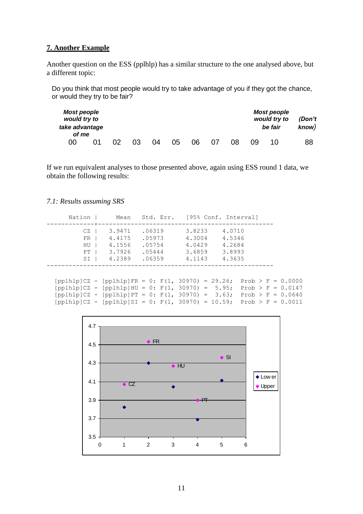# **7. Another Example**

Another question on the ESS (pplhlp) has a similar structure to the one analysed above, but a different topic:

Do you think that most people would try to take advantage of you if they got the chance, or would they try to be fair?

| <b>Most people</b><br>would try to<br>take advantage<br>of me |  |    |    |    |    |    |    |    | <b>Most people</b><br>would try to<br>be fair | (Don't<br>know) |
|---------------------------------------------------------------|--|----|----|----|----|----|----|----|-----------------------------------------------|-----------------|
| 00                                                            |  | 03 | 04 | 05 | 06 | 07 | 08 | იඉ | 1 N                                           | 88              |

If we run equivalent analyses to those presented above, again using ESS round 1 data, we obtain the following results:

## *7.1: Results assuming SRS*

| Nation I                         | Mean                                           |                                                | Std. Err. [95% Conf. Interval]                 |                                                                     |  |
|----------------------------------|------------------------------------------------|------------------------------------------------|------------------------------------------------|---------------------------------------------------------------------|--|
| CZ<br>$FR$  <br>HU<br>PT<br>SI I | 3.9471<br>4.4175<br>4.1556<br>3.7926<br>4.2389 | .06319<br>.05973<br>.05754<br>.05444<br>.06359 | 3.8233<br>4.3004<br>4.0429<br>3.6859<br>4.1143 | 4.0710<br>4.5346<br>4.2684<br>3.8993<br>4.3635                      |  |
|                                  |                                                |                                                |                                                | [pplhlp]CZ - [pplhlp]FR = 0: F(1, 30970) = 29.26; Prob > F = 0.0000 |  |

| [pplhlp]CZ - [pplhlp]HU = 0: F(1, 30970) = 5.95; Prob > F = 0.0147  |  |  |  |  |  |
|---------------------------------------------------------------------|--|--|--|--|--|
| [pplhlp]CZ - [pplhlp]PT = 0: F(1, 30970) = 3.63; Prob > F = 0.0640  |  |  |  |  |  |
| [pplhlp]CZ - [pplhlp]SI = 0: F(1, 30970) = 10.59; Prob > F = 0.0011 |  |  |  |  |  |

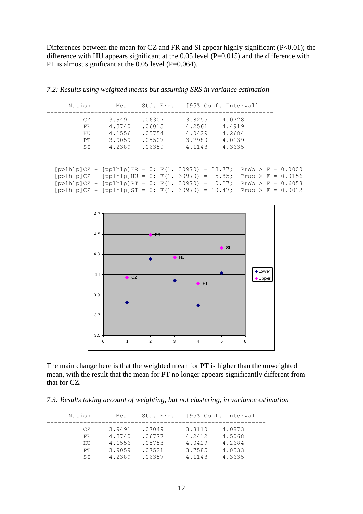Differences between the mean for CZ and FR and SI appear highly significant  $(P<0.01)$ ; the difference with HU appears significant at the 0.05 level (P=0.015) and the difference with PT is almost significant at the 0.05 level (P=0.064).

|      | Nation   Mean Std. Err. [95% Conf. Interval]                                |        |        |                        |  |                     |
|------|-----------------------------------------------------------------------------|--------|--------|------------------------|--|---------------------|
| $CZ$ | 3.9491                                                                      |        |        | $.06307$ 3.8255 4.0728 |  |                     |
| $FR$ | 4.3740                                                                      | .06013 | 4.2561 | 4.4919                 |  |                     |
| HU   | 4.1556                                                                      | .05754 | 4.0429 | 4.2684                 |  |                     |
| PT   | 3.9059                                                                      | .05507 | 3.7980 | 4.0139                 |  |                     |
| $SI$ | 4.2389                                                                      | .06359 | 4.1143 | 4.3635                 |  |                     |
|      |                                                                             |        |        |                        |  |                     |
|      | $[pplhlp]CZ - [pplhlp]FR = 0$ : $F(1, 30970) = 23.77$ ; Prob > $F = 0.0000$ |        |        |                        |  |                     |
|      | $[pplhlp]CZ - [pplhlp]HU = 0: F(1, 30970) = 5.85;$                          |        |        |                        |  | $Prob > F = 0.0156$ |
|      | $[pplhlp]CZ - [pplhlp]PT = 0: F(1, 30970) = 0.27;$                          |        |        |                        |  | $Prob > F = 0.6058$ |
|      | [pplhlp]CZ - [pplhlp]SI = 0: F(1, 30970) = 10.47; Prob > F = 0.0012         |        |        |                        |  |                     |

*7.2: Results using weighted means but assuming SRS in variance estimation*



The main change here is that the weighted mean for PT is higher than the unweighted mean, with the result that the mean for PT no longer appears significantly different from that for CZ.

*7.3: Results taking account of weighting, but not clustering, in variance estimation*

| Nation                               | Mean                                           |                                                |                                                | Std. Err. [95% Conf. Interval]                 |
|--------------------------------------|------------------------------------------------|------------------------------------------------|------------------------------------------------|------------------------------------------------|
| CZ<br>$FR$  <br>$HU$  <br>PT<br>SI I | 3.9491<br>4.3740<br>4.1556<br>3.9059<br>4.2389 | .07049<br>.06777<br>.05753<br>.07521<br>.06357 | 3.8110<br>4.2412<br>4.0429<br>3.7585<br>4.1143 | 4.0873<br>4.5068<br>4.2684<br>4.0533<br>4.3635 |
|                                      |                                                |                                                |                                                |                                                |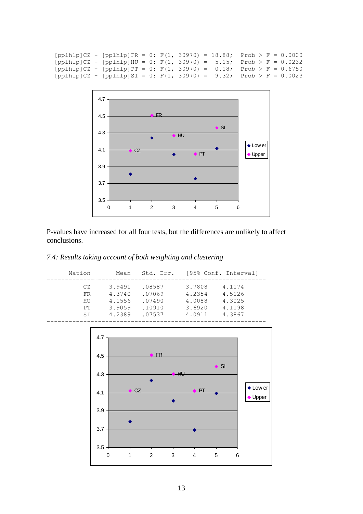```
[pplhlp]CZ - [pplhlp]FR = 0: F(1, 30970) = 18.88; Prob > F = 0.0000[pplhlp]CZ - [pplhlp]HU = 0: F(1, 30970) = 5.15; Prob > F = 0.0232[pplhlp]CZ - [pplhlp]PT = 0: F(1, 30970) = 0.18; Prob > F = 0.6750[pplhlp]CZ - [pplhlp]SI = 0: F(1, 30970) = 9.32; Prob > F = 0.0023
```


P-values have increased for all four tests, but the differences are unlikely to affect conclusions.

## *7.4: Results taking account of both weighting and clustering*

| Nation                       | Mean                                           | Std. Err.                                      |                                                | [95% Conf. Interval]                           |
|------------------------------|------------------------------------------------|------------------------------------------------|------------------------------------------------|------------------------------------------------|
| CZ.<br>FR.<br>HU<br>PT<br>SI | 3.9491<br>4.3740<br>4.1556<br>3.9059<br>4.2389 | .08587<br>.07069<br>.07490<br>.10910<br>.07537 | 3.7808<br>4.2354<br>4.0088<br>3.6920<br>4.0911 | 4.1174<br>4.5126<br>4.3025<br>4.1198<br>4.3867 |
|                              |                                                |                                                |                                                |                                                |

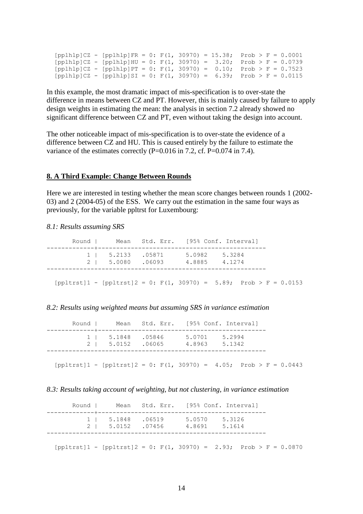$[pph1bp]CZ - [pp1b1p]FR = 0: F(1, 30970) = 15.38; Prob > F = 0.0001$  $[pplhlp]CZ - [pplhlp]HU = 0: F(1, 30970) = 3.20; Prob > F = 0.0739$  $[pph1p]CZ - [pp1h1p]PT = 0: F(1, 30970) = 0.10; Prob > F = 0.7523$  $[pplhlp]CZ - [pplhlp]SI = 0: F(1, 30970) = 6.39; Prob > F = 0.0115$ 

In this example, the most dramatic impact of mis-specification is to over-state the difference in means between CZ and PT. However, this is mainly caused by failure to apply design weights in estimating the mean: the analysis in section 7.2 already showed no significant difference between CZ and PT, even without taking the design into account.

The other noticeable impact of mis-specification is to over-state the evidence of a difference between CZ and HU. This is caused entirely by the failure to estimate the variance of the estimates correctly (P=0.016 in 7.2, cf. P=0.074 in 7.4).

#### **8. A Third Example: Change Between Rounds**

Here we are interested in testing whether the mean score changes between rounds 1 (2002- 03) and 2 (2004-05) of the ESS. We carry out the estimation in the same four ways as previously, for the variable ppltrst for Luxembourg:

#### *8.1: Results assuming SRS*

|                   |                   |                                | Round   Mean Std. Err. [95% Conf. Interval] |
|-------------------|-------------------|--------------------------------|---------------------------------------------|
| 1   5.2133 .05871 | 2   5.0080 .06093 | 5.0982 5.3284<br>4.8885 4.1274 |                                             |
|                   |                   |                                |                                             |

 $[ppltrst]1 - [ppltrst]2 = 0$ :  $F(1, 30970) = 5.89$ ; Prob > F = 0.0153

#### *8.2: Results using weighted means but assuming SRS in variance estimation*

| Round I |                   | Mean Std. Err. [95% Conf. Interval] |                  |                  |
|---------|-------------------|-------------------------------------|------------------|------------------|
|         | 1   5.1848 .05846 | 2   5.0152 .06065                   | 5.0701<br>4.8963 | 5.2994<br>5.1342 |

 $[ppltrst]1 - [ppltrst]2 = 0$ :  $F(1, 30970) = 4.05$ ;  $Prob > F = 0.0443$ 

#### *8.3: Results taking account of weighting, but not clustering, in variance estimation*

|                                                                                                                                     | Round   Mean Std. Err. [95% Conf. Interval]          |               |  |  |
|-------------------------------------------------------------------------------------------------------------------------------------|------------------------------------------------------|---------------|--|--|
|                                                                                                                                     | 1   5.1848 .06519<br>2   5.0152 .07456 4.8691 5.1614 | 5.0570 5.3126 |  |  |
| $[{\rm \texttt{ppltrst}}]1 - [{\rm \texttt{ppltrst}}]2 = 0$ : ${\rm F}(1, 30970) = 2.93$ ; ${\rm \texttt{Prob}} > {\rm F} = 0.0870$ |                                                      |               |  |  |